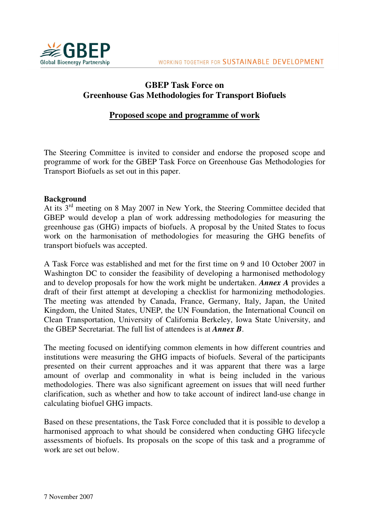

# **GBEP Task Force on Greenhouse Gas Methodologies for Transport Biofuels**

# **Proposed scope and programme of work**

The Steering Committee is invited to consider and endorse the proposed scope and programme of work for the GBEP Task Force on Greenhouse Gas Methodologies for Transport Biofuels as set out in this paper.

### **Background**

At its 3rd meeting on 8 May 2007 in New York, the Steering Committee decided that GBEP would develop a plan of work addressing methodologies for measuring the greenhouse gas (GHG) impacts of biofuels. A proposal by the United States to focus work on the harmonisation of methodologies for measuring the GHG benefits of transport biofuels was accepted.

A Task Force was established and met for the first time on 9 and 10 October 2007 in Washington DC to consider the feasibility of developing a harmonised methodology and to develop proposals for how the work might be undertaken. *Annex A* provides a draft of their first attempt at developing a checklist for harmonizing methodologies. The meeting was attended by Canada, France, Germany, Italy, Japan, the United Kingdom, the United States, UNEP, the UN Foundation, the International Council on Clean Transportation, University of California Berkeley, Iowa State University, and the GBEP Secretariat. The full list of attendees is at *Annex B*.

The meeting focused on identifying common elements in how different countries and institutions were measuring the GHG impacts of biofuels. Several of the participants presented on their current approaches and it was apparent that there was a large amount of overlap and commonality in what is being included in the various methodologies. There was also significant agreement on issues that will need further clarification, such as whether and how to take account of indirect land-use change in calculating biofuel GHG impacts.

Based on these presentations, the Task Force concluded that it is possible to develop a harmonised approach to what should be considered when conducting GHG lifecycle assessments of biofuels. Its proposals on the scope of this task and a programme of work are set out below.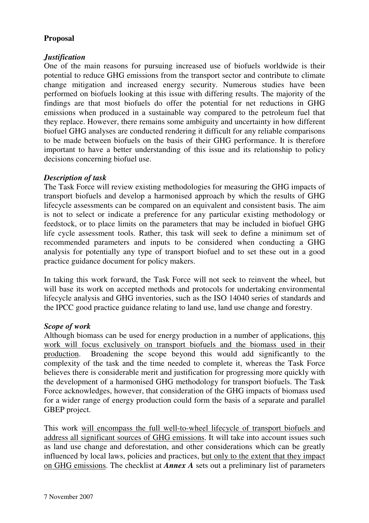# **Proposal**

## *Justification*

One of the main reasons for pursuing increased use of biofuels worldwide is their potential to reduce GHG emissions from the transport sector and contribute to climate change mitigation and increased energy security. Numerous studies have been performed on biofuels looking at this issue with differing results. The majority of the findings are that most biofuels do offer the potential for net reductions in GHG emissions when produced in a sustainable way compared to the petroleum fuel that they replace. However, there remains some ambiguity and uncertainty in how different biofuel GHG analyses are conducted rendering it difficult for any reliable comparisons to be made between biofuels on the basis of their GHG performance. It is therefore important to have a better understanding of this issue and its relationship to policy decisions concerning biofuel use.

## *Description of task*

The Task Force will review existing methodologies for measuring the GHG impacts of transport biofuels and develop a harmonised approach by which the results of GHG lifecycle assessments can be compared on an equivalent and consistent basis. The aim is not to select or indicate a preference for any particular existing methodology or feedstock, or to place limits on the parameters that may be included in biofuel GHG life cycle assessment tools. Rather, this task will seek to define a minimum set of recommended parameters and inputs to be considered when conducting a GHG analysis for potentially any type of transport biofuel and to set these out in a good practice guidance document for policy makers.

In taking this work forward, the Task Force will not seek to reinvent the wheel, but will base its work on accepted methods and protocols for undertaking environmental lifecycle analysis and GHG inventories, such as the ISO 14040 series of standards and the IPCC good practice guidance relating to land use, land use change and forestry.

## *Scope of work*

Although biomass can be used for energy production in a number of applications, this work will focus exclusively on transport biofuels and the biomass used in their production. Broadening the scope beyond this would add significantly to the complexity of the task and the time needed to complete it, whereas the Task Force believes there is considerable merit and justification for progressing more quickly with the development of a harmonised GHG methodology for transport biofuels. The Task Force acknowledges, however, that consideration of the GHG impacts of biomass used for a wider range of energy production could form the basis of a separate and parallel GBEP project.

This work will encompass the full well-to-wheel lifecycle of transport biofuels and address all significant sources of GHG emissions. It will take into account issues such as land use change and deforestation, and other considerations which can be greatly influenced by local laws, policies and practices, but only to the extent that they impact on GHG emissions. The checklist at *Annex A* sets out a preliminary list of parameters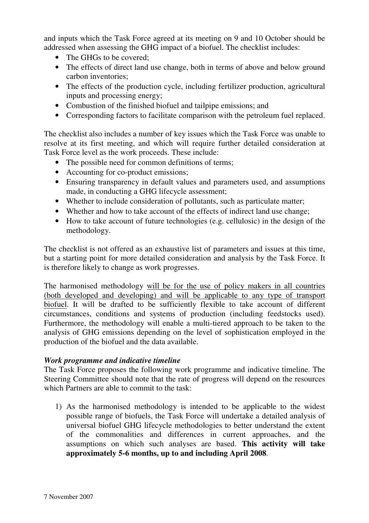and inputs which the Task Force agreed at its meeting on 9 and 10 October should be addressed when assessing the GHG impact of a biofuel. The checklist includes:

- The GHGs to be covered:
- The effects of direct land use change, both in terms of above and below ground carbon inventories;
- The effects of the production cycle, including fertilizer production, agricultural inputs and processing energy;
- Combustion of the finished biofuel and tailpipe emissions; and
- Corresponding factors to facilitate comparison with the petroleum fuel replaced.

The checklist also includes a number of key issues which the Task Force was unable to resolve at its first meeting, and which will require further detailed consideration at Task Force level as the work proceeds. These include:

- The possible need for common definitions of terms:
- Accounting for co-product emissions;
- Ensuring transparency in default values and parameters used, and assumptions made, in conducting a GHG lifecycle assessment;
- Whether to include consideration of pollutants, such as particulate matter;
- Whether and how to take account of the effects of indirect land use change;
- How to take account of future technologies (e.g. cellulosic) in the design of the methodology.

The checklist is not offered as an exhaustive list of parameters and issues at this time, but a starting point for more detailed consideration and analysis by the Task Force. It is therefore likely to change as work progresses.

The harmonised methodology will be for the use of policy makers in all countries (both developed and developing) and will be applicable to any type of transport biofuel. It will be drafted to be sufficiently flexible to take account of different circumstances, conditions and systems of production (including feedstocks used). Furthermore, the methodology will enable a multi-tiered approach to be taken to the analysis of GHG emissions depending on the level of sophistication employed in the production of the biofuel and the data available.

## *Work programme and indicative timeline*

The Task Force proposes the following work programme and indicative timeline. The Steering Committee should note that the rate of progress will depend on the resources which Partners are able to commit to the task:

1) As the harmonised methodology is intended to be applicable to the widest possible range of biofuels, the Task Force will undertake a detailed analysis of universal biofuel GHG lifecycle methodologies to better understand the extent of the commonalities and differences in current approaches, and the assumptions on which such analyses are based. **This activity will take approximately 5-6 months, up to and including April 2008**.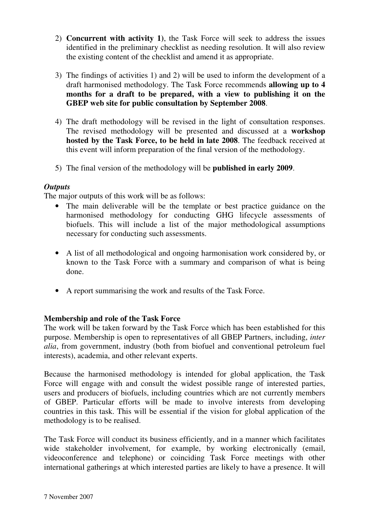- 2) **Concurrent with activity 1)**, the Task Force will seek to address the issues identified in the preliminary checklist as needing resolution. It will also review the existing content of the checklist and amend it as appropriate.
- 3) The findings of activities 1) and 2) will be used to inform the development of a draft harmonised methodology. The Task Force recommends **allowing up to 4 months for a draft to be prepared, with a view to publishing it on the GBEP web site for public consultation by September 2008**.
- 4) The draft methodology will be revised in the light of consultation responses. The revised methodology will be presented and discussed at a **workshop hosted by the Task Force, to be held in late 2008**. The feedback received at this event will inform preparation of the final version of the methodology.
- 5) The final version of the methodology will be **published in early 2009**.

## *Outputs*

The major outputs of this work will be as follows:

- The main deliverable will be the template or best practice guidance on the harmonised methodology for conducting GHG lifecycle assessments of biofuels. This will include a list of the major methodological assumptions necessary for conducting such assessments.
- A list of all methodological and ongoing harmonisation work considered by, or known to the Task Force with a summary and comparison of what is being done.
- A report summarising the work and results of the Task Force.

## **Membership and role of the Task Force**

The work will be taken forward by the Task Force which has been established for this purpose. Membership is open to representatives of all GBEP Partners, including, *inter alia*, from government, industry (both from biofuel and conventional petroleum fuel interests), academia, and other relevant experts.

Because the harmonised methodology is intended for global application, the Task Force will engage with and consult the widest possible range of interested parties, users and producers of biofuels, including countries which are not currently members of GBEP. Particular efforts will be made to involve interests from developing countries in this task. This will be essential if the vision for global application of the methodology is to be realised.

The Task Force will conduct its business efficiently, and in a manner which facilitates wide stakeholder involvement, for example, by working electronically (email, videoconference and telephone) or coinciding Task Force meetings with other international gatherings at which interested parties are likely to have a presence. It will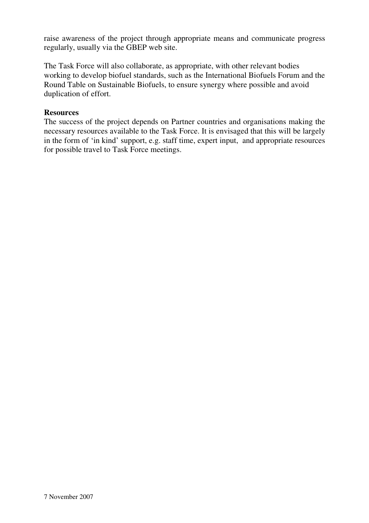raise awareness of the project through appropriate means and communicate progress regularly, usually via the GBEP web site.

The Task Force will also collaborate, as appropriate, with other relevant bodies working to develop biofuel standards, such as the International Biofuels Forum and the Round Table on Sustainable Biofuels, to ensure synergy where possible and avoid duplication of effort.

### **Resources**

The success of the project depends on Partner countries and organisations making the necessary resources available to the Task Force. It is envisaged that this will be largely in the form of 'in kind' support, e.g. staff time, expert input, and appropriate resources for possible travel to Task Force meetings.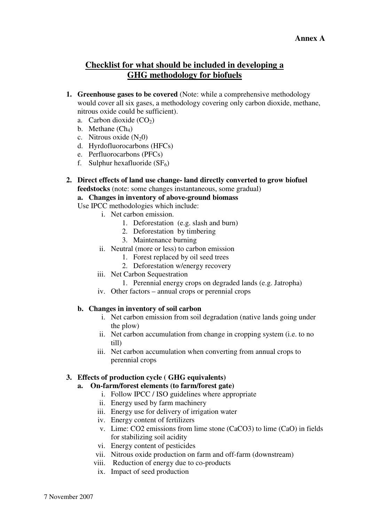# **Checklist for what should be included in developing a GHG methodology for biofuels**

- **1. Greenhouse gases to be covered** (Note: while a comprehensive methodology would cover all six gases, a methodology covering only carbon dioxide, methane, nitrous oxide could be sufficient).
	- a. Carbon dioxide  $(CO<sub>2</sub>)$
	- b. Methane  $(Ch_4)$
	- c. Nitrous oxide  $(N_20)$
	- d. Hyrdofluorocarbons (HFCs)
	- e. Perfluorocarbons (PFCs)
	- f. Sulphur hexafluoride  $(SF_6)$

**2. Direct effects of land use change- land directly converted to grow biofuel feedstocks** (note: some changes instantaneous, some gradual)

**a. Changes in inventory of above-ground biomass** 

Use IPCC methodologies which include:

- i. Net carbon emission.
	- 1. Deforestation (e.g. slash and burn)
	- 2. Deforestation by timbering
	- 3. Maintenance burning
- ii. Neutral (more or less) to carbon emission
	- 1. Forest replaced by oil seed trees
	- 2. Deforestation w/energy recovery
- iii. Net Carbon Sequestration
	- 1. Perennial energy crops on degraded lands (e.g. Jatropha)
- iv. Other factors annual crops or perennial crops

#### **b. Changes in inventory of soil carbon**

- i. Net carbon emission from soil degradation (native lands going under the plow)
- ii. Net carbon accumulation from change in cropping system (i.e. to no till)
- iii. Net carbon accumulation when converting from annual crops to perennial crops

#### **3. Effects of production cycle ( GHG equivalents)**

- **a. On-farm/forest elements (to farm/forest gate)** 
	- i. Follow IPCC / ISO guidelines where appropriate
	- ii. Energy used by farm machinery
	- iii. Energy use for delivery of irrigation water
	- iv. Energy content of fertilizers
	- v. Lime: CO2 emissions from lime stone (CaCO3) to lime (CaO) in fields for stabilizing soil acidity
	- vi. Energy content of pesticides
	- vii. Nitrous oxide production on farm and off-farm (downstream)
	- viii. Reduction of energy due to co-products
	- ix. Impact of seed production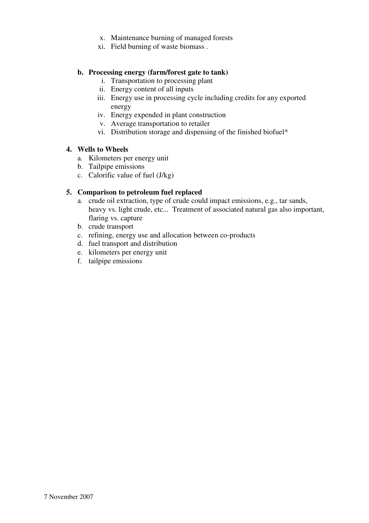- x. Maintenance burning of managed forests
- xi. Field burning of waste biomass .

#### **b. Processing energy (farm/forest gate to tank)**

- i. Transportation to processing plant
- ii. Energy content of all inputs
- iii. Energy use in processing cycle including credits for any exported energy
- iv. Energy expended in plant construction
- v. Average transportation to retailer
- vi. Distribution storage and dispensing of the finished biofuel\*

#### **4. Wells to Wheels**

- a. Kilometers per energy unit
- b. Tailpipe emissions
- c. Calorific value of fuel (J/kg)

#### **5. Comparison to petroleum fuel replaced**

- a. crude oil extraction, type of crude could impact emissions, e.g., tar sands, heavy vs. light crude, etc... Treatment of associated natural gas also important, flaring vs. capture
- b. crude transport
- c. refining, energy use and allocation between co-products
- d. fuel transport and distribution
- e. kilometers per energy unit
- f. tailpipe emissions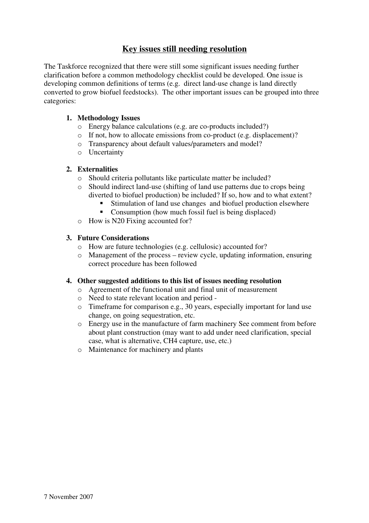# **Key issues still needing resolution**

The Taskforce recognized that there were still some significant issues needing further clarification before a common methodology checklist could be developed. One issue is developing common definitions of terms (e.g. direct land-use change is land directly converted to grow biofuel feedstocks). The other important issues can be grouped into three categories:

### **1. Methodology Issues**

- o Energy balance calculations (e.g. are co-products included?)
- o If not, how to allocate emissions from co-product (e.g. displacement)?
- o Transparency about default values/parameters and model?
- o Uncertainty

### **2. Externalities**

- o Should criteria pollutants like particulate matter be included?
- o Should indirect land-use (shifting of land use patterns due to crops being diverted to biofuel production) be included? If so, how and to what extent?
	- Stimulation of land use changes and biofuel production elsewhere
	- Consumption (how much fossil fuel is being displaced)
- o How is N20 Fixing accounted for?

### **3. Future Considerations**

- o How are future technologies (e.g. cellulosic) accounted for?
- o Management of the process review cycle, updating information, ensuring correct procedure has been followed

#### **4. Other suggested additions to this list of issues needing resolution**

- o Agreement of the functional unit and final unit of measurement
- o Need to state relevant location and period -
- o Timeframe for comparison e.g., 30 years, especially important for land use change, on going sequestration, etc.
- o Energy use in the manufacture of farm machinery See comment from before about plant construction (may want to add under need clarification, special case, what is alternative, CH4 capture, use, etc.)
- o Maintenance for machinery and plants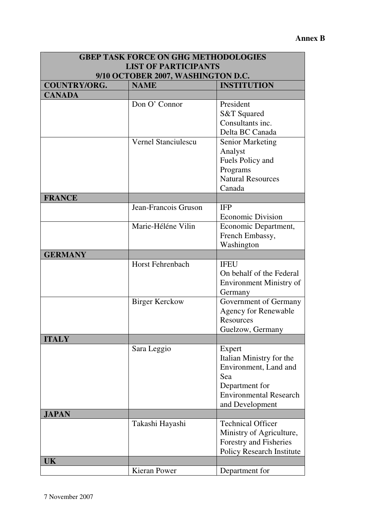| <b>GBEP TASK FORCE ON GHG METHODOLOGIES</b>                       |                         |                                                                                                                                          |  |
|-------------------------------------------------------------------|-------------------------|------------------------------------------------------------------------------------------------------------------------------------------|--|
| <b>LIST OF PARTICIPANTS</b><br>9/10 OCTOBER 2007, WASHINGTON D.C. |                         |                                                                                                                                          |  |
|                                                                   |                         |                                                                                                                                          |  |
| <b>CANADA</b>                                                     |                         |                                                                                                                                          |  |
|                                                                   | Don O' Connor           | President<br><b>S&amp;T</b> Squared<br>Consultants inc.<br>Delta BC Canada                                                               |  |
|                                                                   | Vernel Stanciulescu     | <b>Senior Marketing</b><br>Analyst<br>Fuels Policy and<br>Programs<br><b>Natural Resources</b><br>Canada                                 |  |
| <b>FRANCE</b>                                                     |                         |                                                                                                                                          |  |
|                                                                   | Jean-Francois Gruson    | <b>IFP</b><br><b>Economic Division</b>                                                                                                   |  |
|                                                                   | Marie-Héléne Vilin      | Economic Department,<br>French Embassy,<br>Washington                                                                                    |  |
| <b>GERMANY</b>                                                    |                         |                                                                                                                                          |  |
|                                                                   | <b>Horst Fehrenbach</b> | <b>IFEU</b><br>On behalf of the Federal<br><b>Environment Ministry of</b><br>Germany                                                     |  |
|                                                                   | <b>Birger Kerckow</b>   | Government of Germany<br><b>Agency for Renewable</b><br>Resources<br>Guelzow, Germany                                                    |  |
| <b>ITALY</b>                                                      |                         |                                                                                                                                          |  |
|                                                                   | Sara Leggio             | Expert<br>Italian Ministry for the<br>Environment, Land and<br>Sea<br>Department for<br><b>Environmental Research</b><br>and Development |  |
| <b>JAPAN</b>                                                      |                         |                                                                                                                                          |  |
|                                                                   | Takashi Hayashi         | <b>Technical Officer</b><br>Ministry of Agriculture,<br>Forestry and Fisheries<br><b>Policy Research Institute</b>                       |  |
| UK                                                                |                         |                                                                                                                                          |  |
|                                                                   | Kieran Power            | Department for                                                                                                                           |  |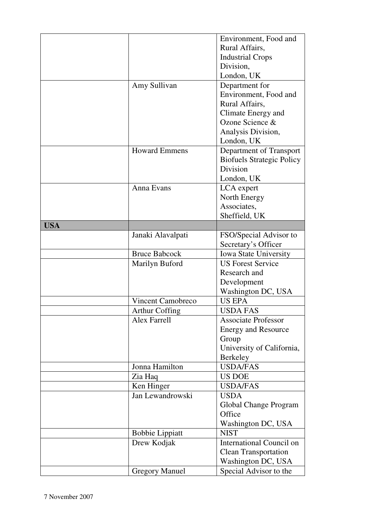|            |                          | Environment, Food and                 |
|------------|--------------------------|---------------------------------------|
|            |                          | Rural Affairs,                        |
|            |                          | <b>Industrial Crops</b>               |
|            |                          | Division,                             |
|            |                          | London, UK                            |
|            | Amy Sullivan             | Department for                        |
|            |                          | Environment, Food and                 |
|            |                          | Rural Affairs,                        |
|            |                          |                                       |
|            |                          | Climate Energy and<br>Ozone Science & |
|            |                          |                                       |
|            |                          | Analysis Division,                    |
|            |                          | London, UK                            |
|            | <b>Howard Emmens</b>     | Department of Transport               |
|            |                          | <b>Biofuels Strategic Policy</b>      |
|            |                          | Division                              |
|            |                          | London, UK                            |
|            | Anna Evans               | LCA expert                            |
|            |                          | North Energy                          |
|            |                          | Associates,                           |
|            |                          | Sheffield, UK                         |
| <b>USA</b> |                          |                                       |
|            | Janaki Alavalpati        | FSO/Special Advisor to                |
|            |                          | Secretary's Officer                   |
|            | <b>Bruce Babcock</b>     | Iowa State University                 |
|            | Marilyn Buford           | <b>US Forest Service</b>              |
|            |                          | Research and                          |
|            |                          | Development                           |
|            |                          | Washington DC, USA                    |
|            | <b>Vincent Camobreco</b> | <b>US EPA</b>                         |
|            | <b>Arthur Coffing</b>    | <b>USDA FAS</b>                       |
|            | Alex Farrell             | <b>Associate Professor</b>            |
|            |                          |                                       |
|            |                          | <b>Energy and Resource</b><br>Group   |
|            |                          |                                       |
|            |                          | University of California,             |
|            |                          | Berkeley                              |
|            | Jonna Hamilton           | <b>USDA/FAS</b>                       |
|            | Zia Haq                  | US DOE                                |
|            | Ken Hinger               | <b>USDA/FAS</b>                       |
|            | Jan Lewandrowski         | <b>USDA</b>                           |
|            |                          | Global Change Program                 |
|            |                          | Office                                |
|            |                          | Washington DC, USA                    |
|            | <b>Bobbie Lippiatt</b>   | <b>NIST</b>                           |
|            | Drew Kodjak              | International Council on              |
|            |                          | <b>Clean Transportation</b>           |
|            |                          | Washington DC, USA                    |
|            | <b>Gregory Manuel</b>    | Special Advisor to the                |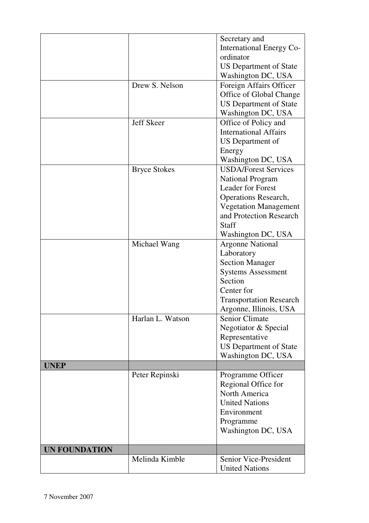|                      | Drew S. Nelson<br>Jeff Skeer | Secretary and<br><b>International Energy Co-</b><br>ordinator<br><b>US Department of State</b><br>Washington DC, USA<br>Foreign Affairs Officer<br>Office of Global Change<br><b>US Department of State</b><br>Washington DC, USA<br>Office of Policy and |
|----------------------|------------------------------|-----------------------------------------------------------------------------------------------------------------------------------------------------------------------------------------------------------------------------------------------------------|
|                      |                              | <b>International Affairs</b><br>US Department of<br>Energy<br>Washington DC, USA                                                                                                                                                                          |
|                      | <b>Bryce Stokes</b>          | <b>USDA/Forest Services</b><br><b>National Program</b><br><b>Leader for Forest</b><br><b>Operations Research,</b><br><b>Vegetation Management</b><br>and Protection Research<br>Staff<br>Washington DC, USA                                               |
|                      | Michael Wang                 | <b>Argonne National</b><br>Laboratory<br><b>Section Manager</b><br><b>Systems Assessment</b><br>Section<br>Center for<br><b>Transportation Research</b><br>Argonne, Illinois, USA                                                                         |
|                      | Harlan L. Watson             | <b>Senior Climate</b><br>Negotiator & Special<br>Representative<br><b>US Department of State</b><br>Washington DC, USA                                                                                                                                    |
| <b>UNEP</b>          |                              |                                                                                                                                                                                                                                                           |
|                      | Peter Repinski               | Programme Officer<br>Regional Office for<br>North America<br><b>United Nations</b><br>Environment<br>Programme<br>Washington DC, USA                                                                                                                      |
| <b>UN FOUNDATION</b> |                              |                                                                                                                                                                                                                                                           |
|                      | Melinda Kimble               | Senior Vice-President<br><b>United Nations</b>                                                                                                                                                                                                            |